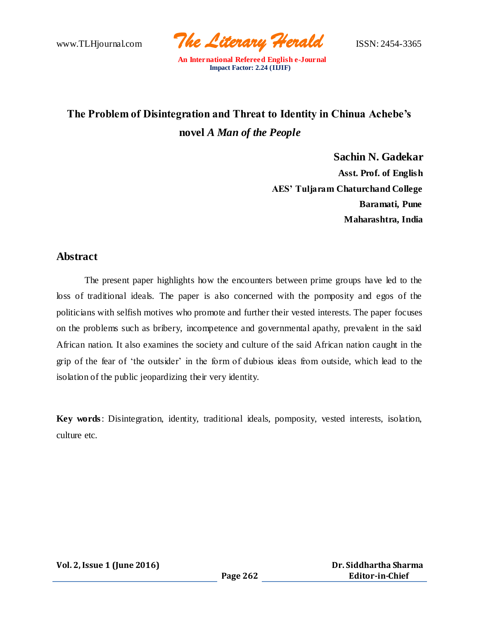www.TLHjournal.com *The Literary Herald*ISSN: 2454-3365

# **The Problem of Disintegration and Threat to Identity in Chinua Achebe's novel** *A Man of the People*

**Sachin N. Gadekar Asst. Prof. of English AES' Tuljaram Chaturchand College Baramati, Pune Maharashtra, India**

### **Abstract**

The present paper highlights how the encounters between prime groups have led to the loss of traditional ideals. The paper is also concerned with the pomposity and egos of the politicians with selfish motives who promote and further their vested interests. The paper focuses on the problems such as bribery, incompetence and governmental apathy, prevalent in the said African nation. It also examines the society and culture of the said African nation caught in the grip of the fear of 'the outsider' in the form of dubious ideas from outside, which lead to the isolation of the public jeopardizing their very identity.

**Key words**: Disintegration, identity, traditional ideals, pomposity, vested interests, isolation, culture etc.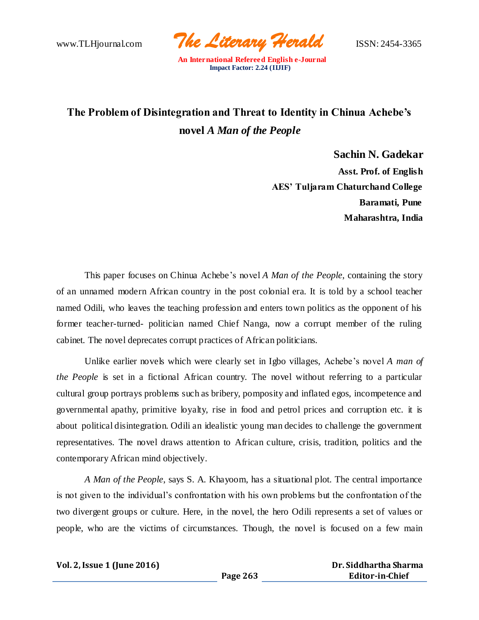www.TLHjournal.com *The Literary Herald*ISSN: 2454-3365

## **The Problem of Disintegration and Threat to Identity in Chinua Achebe's novel** *A Man of the People*

**Sachin N. Gadekar Asst. Prof. of English AES' Tuljaram Chaturchand College Baramati, Pune Maharashtra, India**

This paper focuses on Chinua Achebe's novel *A Man of the People*, containing the story of an unnamed modern African country in the post colonial era. It is told by a school teacher named Odili, who leaves the teaching profession and enters town politics as the opponent of his former teacher-turned- politician named Chief Nanga, now a corrupt member of the ruling cabinet. The novel deprecates corrupt practices of African politicians.

Unlike earlier novels which were clearly set in Igbo villages, Achebe's novel *A man of the People* is set in a fictional African country. The novel without referring to a particular cultural group portrays problems such as bribery, pomposity and inflated egos, incompetence and governmental apathy, primitive loyalty, rise in food and petrol prices and corruption etc. it is about political disintegration. Odili an idealistic young man decides to challenge the government representatives. The novel draws attention to African culture, crisis, tradition, politics and the contemporary African mind objectively.

*A Man of the People*, says S. A. Khayoom, has a situational plot. The central importance is not given to the individual's confrontation with his own problems but the confrontation of the two divergent groups or culture. Here, in the novel, the hero Odili represents a set of values or people, who are the victims of circumstances. Though, the novel is focused on a few main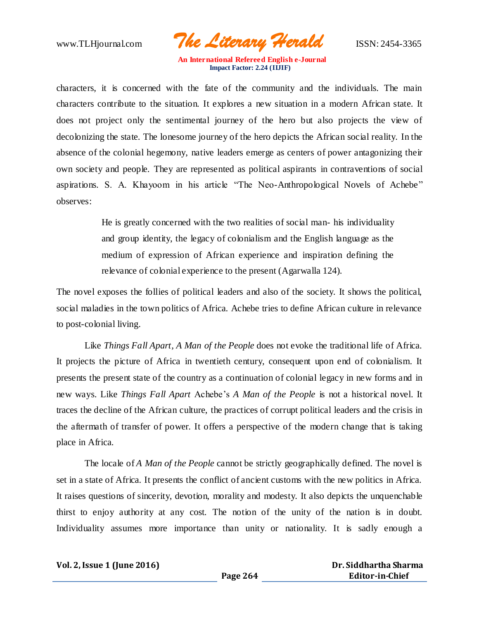www.TLHjournal.com *The Literary Herald*ISSN: 2454-3365

characters, it is concerned with the fate of the community and the individuals. The main characters contribute to the situation. It explores a new situation in a modern African state. It does not project only the sentimental journey of the hero but also projects the view of decolonizing the state. The lonesome journey of the hero depicts the African social reality. In the absence of the colonial hegemony, native leaders emerge as centers of power antagonizing their own society and people. They are represented as political aspirants in contraventions of social aspirations. S. A. Khayoom in his article "The Neo-Anthropological Novels of Achebe" observes:

> He is greatly concerned with the two realities of social man- his individuality and group identity, the legacy of colonialism and the English language as the medium of expression of African experience and inspiration defining the relevance of colonial experience to the present (Agarwalla 124).

The novel exposes the follies of political leaders and also of the society. It shows the political, social maladies in the town politics of Africa. Achebe tries to define African culture in relevance to post-colonial living.

Like *Things Fall Apart, A Man of the People* does not evoke the traditional life of Africa. It projects the picture of Africa in twentieth century, consequent upon end of colonialism. It presents the present state of the country as a continuation of colonial legacy in new forms and in new ways. Like *Things Fall Apart* Achebe's *A Man of the People* is not a historical novel. It traces the decline of the African culture, the practices of corrupt political leaders and the crisis in the aftermath of transfer of power. It offers a perspective of the modern change that is taking place in Africa.

The locale of *A Man of the People* cannot be strictly geographically defined. The novel is set in a state of Africa. It presents the conflict of ancient customs with the new politics in Africa. It raises questions of sincerity, devotion, morality and modesty. It also depicts the unquenchable thirst to enjoy authority at any cost. The notion of the unity of the nation is in doubt. Individuality assumes more importance than unity or nationality. It is sadly enough a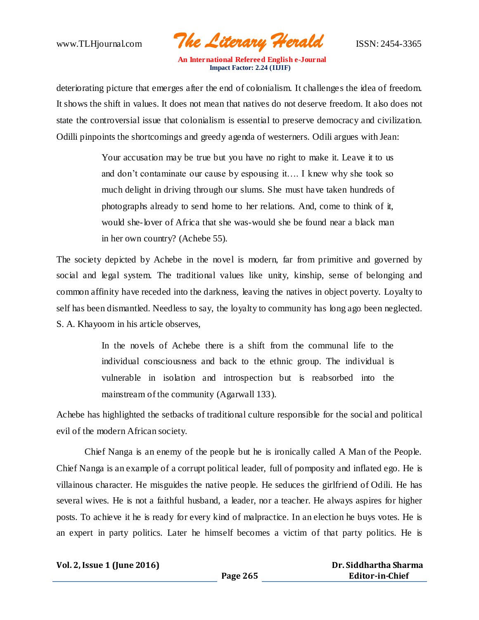www.TLHjournal.com *The Literary Herald*ISSN: 2454-3365

deteriorating picture that emerges after the end of colonialism. It challenges the idea of freedom. It shows the shift in values. It does not mean that natives do not deserve freedom. It also does not state the controversial issue that colonialism is essential to preserve democracy and civilization. Odilli pinpoints the shortcomings and greedy agenda of westerners. Odili argues with Jean:

> Your accusation may be true but you have no right to make it. Leave it to us and don't contaminate our cause by espousing it…. I knew why she took so much delight in driving through our slums. She must have taken hundreds of photographs already to send home to her relations. And, come to think of it, would she-lover of Africa that she was-would she be found near a black man in her own country? (Achebe 55).

The society depicted by Achebe in the novel is modern, far from primitive and governed by social and legal system. The traditional values like unity, kinship, sense of belonging and common affinity have receded into the darkness, leaving the natives in object poverty. Loyalty to self has been dismantled. Needless to say, the loyalty to community has long ago been neglected. S. A. Khayoom in his article observes,

> In the novels of Achebe there is a shift from the communal life to the individual consciousness and back to the ethnic group. The individual is vulnerable in isolation and introspection but is reabsorbed into the mainstream of the community (Agarwall 133).

Achebe has highlighted the setbacks of traditional culture responsible for the social and political evil of the modern African society.

Chief Nanga is an enemy of the people but he is ironically called A Man of the People. Chief Nanga is an example of a corrupt political leader, full of pomposity and inflated ego. He is villainous character. He misguides the native people. He seduces the girlfriend of Odili. He has several wives. He is not a faithful husband, a leader, nor a teacher. He always aspires for higher posts. To achieve it he is ready for every kind of malpractice. In an election he buys votes. He is an expert in party politics. Later he himself becomes a victim of that party politics. He is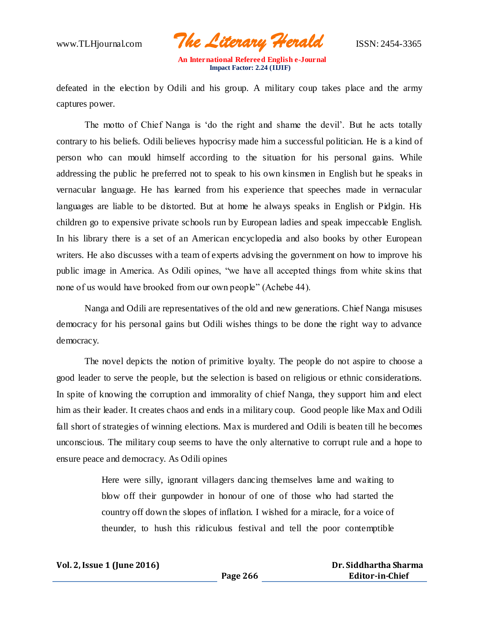www.TLHjournal.com *The Literary Herald*ISSN: 2454-3365

defeated in the election by Odili and his group. A military coup takes place and the army captures power.

The motto of Chief Nanga is 'do the right and shame the devil'. But he acts totally contrary to his beliefs. Odili believes hypocrisy made him a successful politician. He is a kind of person who can mould himself according to the situation for his personal gains. While addressing the public he preferred not to speak to his own kinsmen in English but he speaks in vernacular language. He has learned from his experience that speeches made in vernacular languages are liable to be distorted. But at home he always speaks in English or Pidgin. His children go to expensive private schools run by European ladies and speak impeccable English. In his library there is a set of an American encyclopedia and also books by other European writers. He also discusses with a team of experts advising the government on how to improve his public image in America. As Odili opines, "we have all accepted things from white skins that none of us would have brooked from our own people" (Achebe 44).

Nanga and Odili are representatives of the old and new generations. Chief Nanga misuses democracy for his personal gains but Odili wishes things to be done the right way to advance democracy.

The novel depicts the notion of primitive loyalty. The people do not aspire to choose a good leader to serve the people, but the selection is based on religious or ethnic considerations. In spite of knowing the corruption and immorality of chief Nanga, they support him and elect him as their leader. It creates chaos and ends in a military coup. Good people like Max and Odili fall short of strategies of winning elections. Max is murdered and Odili is beaten till he becomes unconscious. The military coup seems to have the only alternative to corrupt rule and a hope to ensure peace and democracy. As Odili opines

> Here were silly, ignorant villagers dancing themselves lame and waiting to blow off their gunpowder in honour of one of those who had started the country off down the slopes of inflation. I wished for a miracle, for a voice of theunder, to hush this ridiculous festival and tell the poor contemptible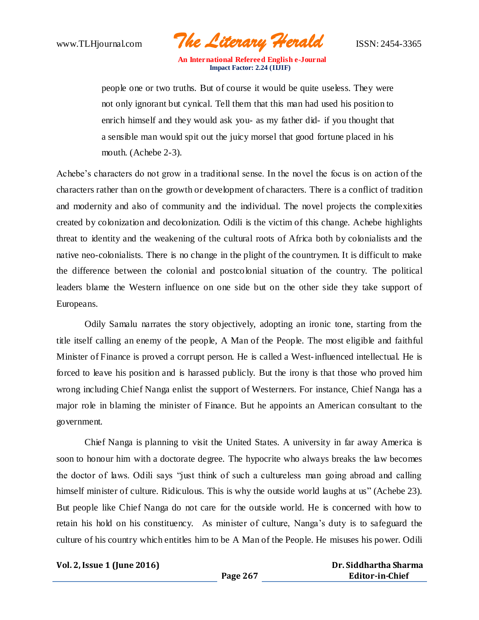www.TLHjournal.com *The Literary Herald*ISSN: 2454-3365

people one or two truths. But of course it would be quite useless. They were not only ignorant but cynical. Tell them that this man had used his position to enrich himself and they would ask you- as my father did- if you thought that a sensible man would spit out the juicy morsel that good fortune placed in his mouth. (Achebe 2-3).

Achebe's characters do not grow in a traditional sense. In the novel the focus is on action of the characters rather than on the growth or development of characters. There is a conflict of tradition and modernity and also of community and the individual. The novel projects the complexities created by colonization and decolonization. Odili is the victim of this change. Achebe highlights threat to identity and the weakening of the cultural roots of Africa both by colonialists and the native neo-colonialists. There is no change in the plight of the countrymen. It is difficult to make the difference between the colonial and postcolonial situation of the country. The political leaders blame the Western influence on one side but on the other side they take support of Europeans.

Odily Samalu narrates the story objectively, adopting an ironic tone, starting from the title itself calling an enemy of the people, A Man of the People. The most eligible and faithful Minister of Finance is proved a corrupt person. He is called a West-influenced intellectual. He is forced to leave his position and is harassed publicly. But the irony is that those who proved him wrong including Chief Nanga enlist the support of Westerners. For instance, Chief Nanga has a major role in blaming the minister of Finance. But he appoints an American consultant to the government.

Chief Nanga is planning to visit the United States. A university in far away America is soon to honour him with a doctorate degree. The hypocrite who always breaks the law becomes the doctor of laws. Odili says "just think of such a cultureless man going abroad and calling himself minister of culture. Ridiculous. This is why the outside world laughs at us" (Achebe 23). But people like Chief Nanga do not care for the outside world. He is concerned with how to retain his hold on his constituency. As minister of culture, Nanga's duty is to safeguard the culture of his country which entitles him to be A Man of the People. He misuses his power. Odili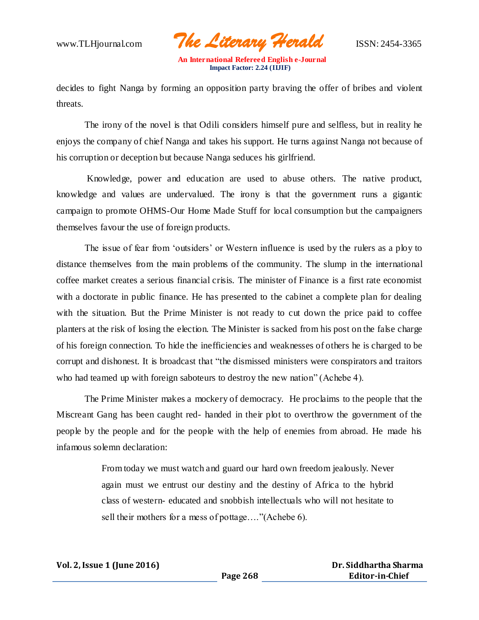www.TLHjournal.com *The Literary Herald*ISSN: 2454-3365

decides to fight Nanga by forming an opposition party braving the offer of bribes and violent threats.

The irony of the novel is that Odili considers himself pure and selfless, but in reality he enjoys the company of chief Nanga and takes his support. He turns against Nanga not because of his corruption or deception but because Nanga seduces his girlfriend.

Knowledge, power and education are used to abuse others. The native product, knowledge and values are undervalued. The irony is that the government runs a gigantic campaign to promote OHMS-Our Home Made Stuff for local consumption but the campaigners themselves favour the use of foreign products.

The issue of fear from 'outsiders' or Western influence is used by the rulers as a ploy to distance themselves from the main problems of the community. The slump in the international coffee market creates a serious financial crisis. The minister of Finance is a first rate economist with a doctorate in public finance. He has presented to the cabinet a complete plan for dealing with the situation. But the Prime Minister is not ready to cut down the price paid to coffee planters at the risk of losing the election. The Minister is sacked from his post on the false charge of his foreign connection. To hide the inefficiencies and weaknesses of others he is charged to be corrupt and dishonest. It is broadcast that "the dismissed ministers were conspirators and traitors who had teamed up with foreign saboteurs to destroy the new nation" (Achebe 4).

The Prime Minister makes a mockery of democracy. He proclaims to the people that the Miscreant Gang has been caught red- handed in their plot to overthrow the government of the people by the people and for the people with the help of enemies from abroad. He made his infamous solemn declaration:

> From today we must watch and guard our hard own freedom jealously. Never again must we entrust our destiny and the destiny of Africa to the hybrid class of western- educated and snobbish intellectuals who will not hesitate to sell their mothers for a mess of pottage…."(Achebe 6).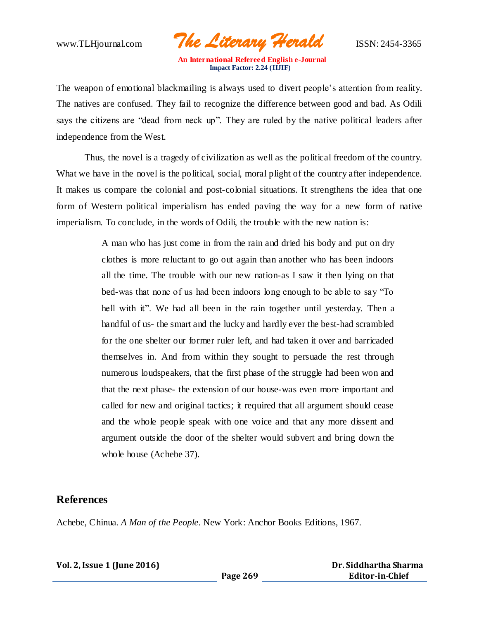www.TLHjournal.com *The Literary Herald*ISSN: 2454-3365

The weapon of emotional blackmailing is always used to divert people's attention from reality. The natives are confused. They fail to recognize the difference between good and bad. As Odili says the citizens are "dead from neck up". They are ruled by the native political leaders after independence from the West.

Thus, the novel is a tragedy of civilization as well as the political freedom of the country. What we have in the novel is the political, social, moral plight of the country after independence. It makes us compare the colonial and post-colonial situations. It strengthens the idea that one form of Western political imperialism has ended paving the way for a new form of native imperialism. To conclude, in the words of Odili, the trouble with the new nation is:

> A man who has just come in from the rain and dried his body and put on dry clothes is more reluctant to go out again than another who has been indoors all the time. The trouble with our new nation-as I saw it then lying on that bed-was that none of us had been indoors long enough to be able to say "To hell with it". We had all been in the rain together until yesterday. Then a handful of us- the smart and the lucky and hardly ever the best-had scrambled for the one shelter our former ruler left, and had taken it over and barricaded themselves in. And from within they sought to persuade the rest through numerous loudspeakers, that the first phase of the struggle had been won and that the next phase- the extension of our house-was even more important and called for new and original tactics; it required that all argument should cease and the whole people speak with one voice and that any more dissent and argument outside the door of the shelter would subvert and bring down the whole house (Achebe 37).

#### **References**

Achebe, Chinua. *A Man of the People*. New York: Anchor Books Editions, 1967.